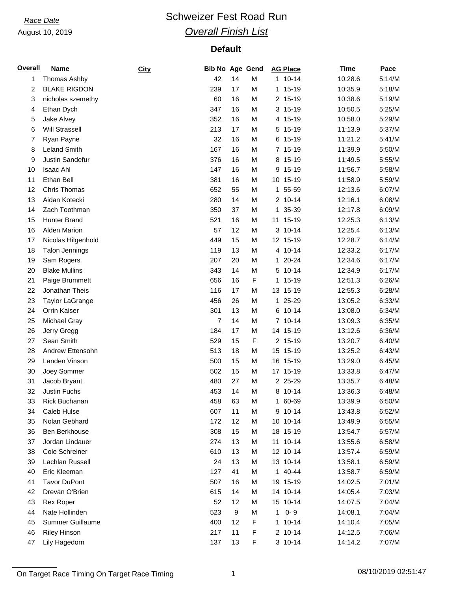# *Race Date* **Conservery Schweizer Fest Road Run** *Overall Finish List*

| <b>Overall</b> | <b>Name</b>           | City | <b>Bib No Age Gend</b> |                  |   | <b>AG Place</b>    | <b>Time</b> | Pace   |
|----------------|-----------------------|------|------------------------|------------------|---|--------------------|-------------|--------|
| 1              | Thomas Ashby          |      | 42                     | 14               | M | 1 10-14            | 10:28.6     | 5:14/M |
| 2              | <b>BLAKE RIGDON</b>   |      | 239                    | 17               | M | 1 15-19            | 10:35.9     | 5:18/M |
| 3              | nicholas szemethy     |      | 60                     | 16               | M | 2 15-19            | 10:38.6     | 5:19/M |
| 4              | Ethan Dych            |      | 347                    | 16               | M | 3 15-19            | 10:50.5     | 5:25/M |
| 5              | Jake Alvey            |      | 352                    | 16               | M | 4 15-19            | 10:58.0     | 5:29/M |
| 6              | <b>Will Strassell</b> |      | 213                    | 17               | M | 5 15-19            | 11:13.9     | 5:37/M |
| 7              | Ryan Payne            |      | 32                     | 16               | M | 6 15-19            | 11:21.2     | 5:41/M |
| 8              | <b>Leland Smith</b>   |      | 167                    | 16               | M | 7 15-19            | 11:39.9     | 5:50/M |
| 9              | Justin Sandefur       |      | 376                    | 16               | M | 8 15-19            | 11:49.5     | 5:55/M |
| 10             | Isaac Ahl             |      | 147                    | 16               | M | 9 15-19            | 11:56.7     | 5:58/M |
| 11             | Ethan Bell            |      | 381                    | 16               | M | 10 15-19           | 11:58.9     | 5:59/M |
| 12             | <b>Chris Thomas</b>   |      | 652                    | 55               | M | 1 55-59            | 12:13.6     | 6:07/M |
| 13             | Aidan Kotecki         |      | 280                    | 14               | M | 2 10-14            | 12:16.1     | 6:08/M |
| 14             | Zach Toothman         |      | 350                    | 37               | M | 1 35-39            | 12:17.8     | 6:09/M |
| 15             | <b>Hunter Brand</b>   |      | 521                    | 16               | M | 11 15-19           | 12:25.3     | 6:13/M |
| 16             | <b>Alden Marion</b>   |      | 57                     | 12               | M | 3 10-14            | 12:25.4     | 6:13/M |
| 17             | Nicolas Hilgenhold    |      | 449                    | 15               | M | 12 15-19           | 12:28.7     | 6:14/M |
| 18             | <b>Talon Jennings</b> |      | 119                    | 13               | M | 4 10-14            | 12:33.2     | 6:17/M |
| 19             | Sam Rogers            |      | 207                    | 20               | M | 1 20-24            | 12:34.6     | 6:17/M |
| 20             | <b>Blake Mullins</b>  |      | 343                    | 14               | M | $10 - 14$<br>5     | 12:34.9     | 6:17/M |
| 21             | Paige Brummett        |      | 656                    | 16               | F | 1 15-19            | 12:51.3     | 6:26/M |
| 22             | Jonathan Theis        |      | 116                    | 17               | M | 13 15-19           | 12:55.3     | 6:28/M |
|                |                       |      |                        |                  |   |                    |             |        |
| 23             | Taylor LaGrange       |      | 456                    | 26               | M | 1 25-29<br>6 10-14 | 13:05.2     | 6:33/M |
| 24             | Orrin Kaiser          |      | 301                    | 13               | M |                    | 13:08.0     | 6:34/M |
| 25             | Michael Gray          |      | $\overline{7}$         | 14               | M | 7 10-14            | 13:09.3     | 6:35/M |
| 26             | Jerry Gregg           |      | 184                    | 17               | M | 14 15-19           | 13:12.6     | 6:36/M |
| 27             | Sean Smith            |      | 529                    | 15               | F | 2 15-19            | 13:20.7     | 6:40/M |
| 28             | Andrew Ettensohn      |      | 513                    | 18               | M | 15 15-19           | 13:25.2     | 6:43/M |
| 29             | Landen Vinson         |      | 500                    | 15               | M | 16 15-19           | 13:29.0     | 6:45/M |
| 30             | Joey Sommer           |      | 502                    | 15               | M | 17 15-19           | 13:33.8     | 6:47/M |
| 31             | Jacob Bryant          |      | 480                    | 27               | M | 2 25-29            | 13:35.7     | 6:48/M |
| 32             | Justin Fuchs          |      | 453                    | 14               | M | 8 10-14            | 13:36.3     | 6:48/M |
| 33             | Rick Buchanan         |      | 458                    | 63               | M | 1 60-69            | 13:39.9     | 6:50/M |
| 34             | Caleb Hulse           |      | 607                    | 11               | M | 9 10-14            | 13:43.8     | 6:52/M |
| 35             | Nolan Gebhard         |      | 172                    | 12               | M | 10 10-14           | 13:49.9     | 6:55/M |
| 36             | Ben Berkhouse         |      | 308                    | 15               | M | 18 15-19           | 13:54.7     | 6:57/M |
| 37             | Jordan Lindauer       |      | 274                    | 13               | M | 11 10-14           | 13:55.6     | 6:58/M |
| 38             | Cole Schreiner        |      | 610                    | 13               | M | 12 10-14           | 13:57.4     | 6:59/M |
| 39             | Lachlan Russell       |      | 24                     | 13               | M | 13 10-14           | 13:58.1     | 6:59/M |
| 40             | Eric Kleeman          |      | 127                    | 41               | M | 1 40-44            | 13:58.7     | 6:59/M |
| 41             | <b>Tavor DuPont</b>   |      | 507                    | 16               | M | 19 15-19           | 14:02.5     | 7:01/M |
| 42             | Drevan O'Brien        |      | 615                    | 14               | M | 14 10-14           | 14:05.4     | 7:03/M |
| 43             | Rex Roper             |      | 52                     | 12               | M | 15 10-14           | 14:07.5     | 7:04/M |
| 44             | Nate Hollinden        |      | 523                    | $\boldsymbol{9}$ | M | $0 - 9$<br>1       | 14:08.1     | 7:04/M |
| 45             | Summer Guillaume      |      | 400                    | 12               | F | $110-14$           | 14:10.4     | 7:05/M |
| 46             | <b>Riley Hinson</b>   |      | 217                    | 11               | F | 2 10-14            | 14:12.5     | 7:06/M |
| 47             | Lily Hagedorn         |      | 137                    | 13               | F | 3 10-14            | 14:14.2     | 7:07/M |

On Target Race Timing On Target Race Timing 1 08/10/2019 02:51:47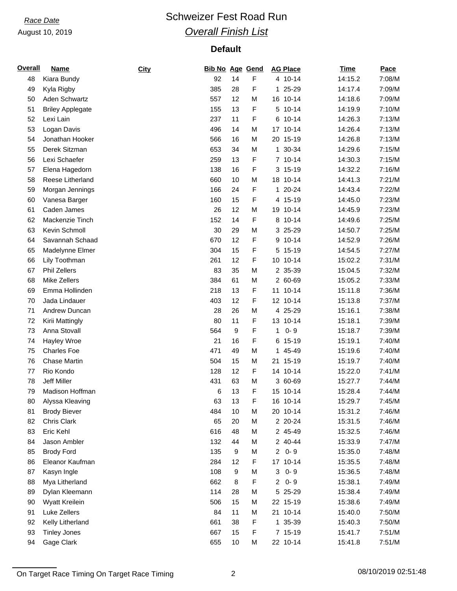# *Race Date* **Conservery Schweizer Fest Road Run** *Overall Finish List*

| <b>Overall</b> | <b>Name</b>             | City | <b>Bib No Age Gend</b> |    |   | <b>AG Place</b>             | <b>Time</b> | Pace   |
|----------------|-------------------------|------|------------------------|----|---|-----------------------------|-------------|--------|
| 48             | Kiara Bundy             |      | 92                     | 14 | F | 4 10-14                     | 14:15.2     | 7:08/M |
| 49             | Kyla Rigby              |      | 385                    | 28 | F | 1 25-29                     | 14:17.4     | 7:09/M |
| 50             | Aden Schwartz           |      | 557                    | 12 | M | 16 10-14                    | 14:18.6     | 7:09/M |
| 51             | <b>Briley Applegate</b> |      | 155                    | 13 | F | $10 - 14$<br>5 <sup>5</sup> | 14:19.9     | 7:10/M |
| 52             | Lexi Lain               |      | 237                    | 11 | F | 6 10-14                     | 14:26.3     | 7:13/M |
| 53             | Logan Davis             |      | 496                    | 14 | M | 17 10-14                    | 14:26.4     | 7:13/M |
| 54             | Jonathan Hooker         |      | 566                    | 16 | M | 20 15-19                    | 14:26.8     | 7:13/M |
| 55             | Derek Sitzman           |      | 653                    | 34 | M | 30-34<br>1                  | 14:29.6     | 7:15/M |
| 56             | Lexi Schaefer           |      | 259                    | 13 | F | 7 10-14                     | 14:30.3     | 7:15/M |
| 57             | Elena Hagedorn          |      | 138                    | 16 | F | 3 15-19                     | 14:32.2     | 7:16/M |
| 58             | Reese Litherland        |      | 660                    | 10 | M | 18 10-14                    | 14:41.3     | 7:21/M |
| 59             | Morgan Jennings         |      | 166                    | 24 | F | $20 - 24$<br>$\mathbf{1}$   | 14:43.4     | 7:22/M |
| 60             | Vanesa Barger           |      | 160                    | 15 | F | 4 15-19                     | 14:45.0     | 7:23/M |
| 61             | Caden James             |      | 26                     | 12 | M | 19 10-14                    | 14:45.9     | 7:23/M |
| 62             | Mackenzie Tinch         |      | 152                    | 14 | F | 8 10-14                     | 14:49.6     | 7:25/M |
| 63             | Kevin Schmoll           |      | 30                     | 29 | M | 3 25-29                     | 14:50.7     | 7:25/M |
| 64             | Savannah Schaad         |      | 670                    | 12 | F | 9 10-14                     | 14:52.9     | 7:26/M |
| 65             | Madelynne Elmer         |      | 304                    | 15 | F | $15-19$<br>5                | 14:54.5     | 7:27/M |
| 66             | Lily Toothman           |      | 261                    | 12 | F | 10 10-14                    | 15:02.2     | 7:31/M |
| 67             | <b>Phil Zellers</b>     |      | 83                     | 35 | M | 2 35-39                     | 15:04.5     | 7:32/M |
| 68             | Mike Zellers            |      | 384                    | 61 | M | 2 60-69                     | 15:05.2     | 7:33/M |
| 69             | Emma Hollinden          |      | 218                    | 13 | F | 11 10-14                    | 15:11.8     | 7:36/M |
| 70             | Jada Lindauer           |      | 403                    | 12 | F | 12 10-14                    | 15:13.8     | 7:37/M |
| 71             | Andrew Duncan           |      | 28                     | 26 | M | 4 25-29                     | 15:16.1     | 7:38/M |
| 72             | Kirii Mattingly         |      | 80                     | 11 | F | 13 10-14                    | 15:18.1     | 7:39/M |
| 73             | Anna Stovall            |      | 564                    | 9  | F | $0 - 9$<br>1                | 15:18.7     | 7:39/M |
| 74             | Hayley Wroe             |      | 21                     | 16 | F | 6 15-19                     | 15:19.1     | 7:40/M |
| 75             | <b>Charles Foe</b>      |      | 471                    | 49 | M | 1 45-49                     | 15:19.6     | 7:40/M |
| 76             | <b>Chase Martin</b>     |      | 504                    | 15 | M | 21 15-19                    | 15:19.7     | 7:40/M |
| 77             | Rio Kondo               |      | 128                    | 12 | F | 14 10-14                    | 15:22.0     | 7:41/M |
| 78             | <b>Jeff Miller</b>      |      | 431                    | 63 | M | 3 60-69                     | 15:27.7     | 7:44/M |
| 79             | Madison Hoffman         |      | 6                      | 13 | F | 15 10-14                    | 15:28.4     | 7:44/M |
| 80             | Alyssa Kleaving         |      | 63                     | 13 | F | 16 10-14                    | 15:29.7     | 7:45/M |
| 81             | <b>Brody Biever</b>     |      | 484                    | 10 | M | 20 10-14                    | 15:31.2     | 7:46/M |
| 82             | Chris Clark             |      | 65                     | 20 | M | 2 20-24                     | 15:31.5     | 7:46/M |
| 83             | Eric Kehl               |      | 616                    | 48 | M | 2 45-49                     | 15:32.5     | 7:46/M |
| 84             | Jason Ambler            |      | 132                    | 44 | M | 2 40-44                     | 15:33.9     | 7:47/M |
| 85             | <b>Brody Ford</b>       |      | 135                    | 9  | M | $0 - 9$<br>$\overline{2}$   | 15:35.0     | 7:48/M |
| 86             | Eleanor Kaufman         |      | 284                    | 12 | F | 17 10-14                    | 15:35.5     | 7:48/M |
| 87             | Kasyn Ingle             |      | 108                    | 9  | M | $0 - 9$<br>3                | 15:36.5     | 7:48/M |
| 88             | Mya Litherland          |      | 662                    | 8  | F | $0 - 9$<br>$\overline{2}$   | 15:38.1     | 7:49/M |
| 89             | Dylan Kleemann          |      | 114                    | 28 | M | 5 25-29                     | 15:38.4     | 7:49/M |
| 90             | Wyatt Kreilein          |      | 506                    | 15 | M | 22 15-19                    | 15:38.6     | 7:49/M |
| 91             | Luke Zellers            |      | 84                     | 11 | M | 21 10-14                    | 15:40.0     | 7:50/M |
| 92             | Kelly Litherland        |      | 661                    | 38 | F | 1 35-39                     | 15:40.3     | 7:50/M |
| 93             | <b>Tinley Jones</b>     |      | 667                    | 15 | F | 7 15-19                     | 15:41.7     | 7:51/M |
| 94             | Gage Clark              |      | 655                    | 10 | M | 22 10-14                    | 15:41.8     | 7:51/M |

On Target Race Timing On Target Race Timing 2 2 08/10/2019 02:51:48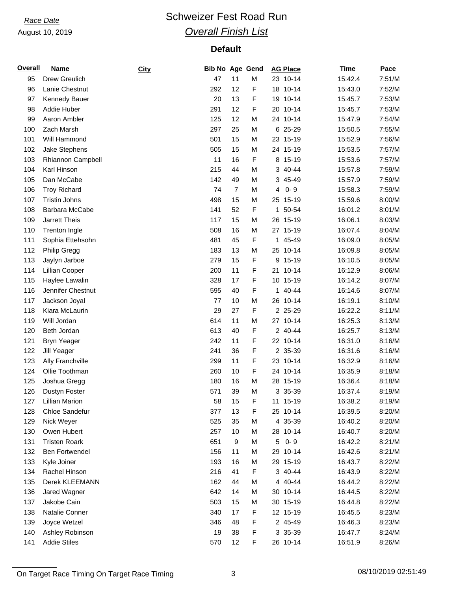# *Race Date* **Conservery Schweizer Fest Road Run** *Overall Finish List*

## **Default**

| <b>Overall</b> | <b>Name</b>           | City | <b>Bib No Age Gend</b> |                |   | <b>AG Place</b> | <b>Time</b> | Pace   |
|----------------|-----------------------|------|------------------------|----------------|---|-----------------|-------------|--------|
| 95             | Drew Greulich         |      | 47                     | 11             | M | 23 10-14        | 15:42.4     | 7:51/M |
| 96             | Lanie Chestnut        |      | 292                    | 12             | F | 18 10-14        | 15:43.0     | 7:52/M |
| 97             | Kennedy Bauer         |      | 20                     | 13             | F | 19 10-14        | 15:45.7     | 7:53/M |
| 98             | Addie Huber           |      | 291                    | 12             | F | 20<br>$10 - 14$ | 15:45.7     | 7:53/M |
| 99             | Aaron Ambler          |      | 125                    | 12             | M | 24 10-14        | 15:47.9     | 7:54/M |
| 100            | Zach Marsh            |      | 297                    | 25             | M | 6 25-29         | 15:50.5     | 7:55/M |
| 101            | Will Hammond          |      | 501                    | 15             | M | 23 15-19        | 15:52.9     | 7:56/M |
| 102            | Jake Stephens         |      | 505                    | 15             | M | 24 15-19        | 15:53.5     | 7:57/M |
| 103            | Rhiannon Campbell     |      | 11                     | 16             | F | 8 15-19         | 15:53.6     | 7:57/M |
| 104            | Karl Hinson           |      | 215                    | 44             | M | 3 40-44         | 15:57.8     | 7:59/M |
| 105            | Dan McCabe            |      | 142                    | 49             | M | 3 45-49         | 15:57.9     | 7:59/M |
| 106            | <b>Troy Richard</b>   |      | 74                     | $\overline{7}$ | M | $0 - 9$<br>4    | 15:58.3     | 7:59/M |
| 107            | <b>Tristin Johns</b>  |      | 498                    | 15             | M | 25 15-19        | 15:59.6     | 8:00/M |
| 108            | Barbara McCabe        |      | 141                    | 52             | F | 50-54<br>1.     | 16:01.2     | 8:01/M |
| 109            | Jarrett Theis         |      | 117                    | 15             | M | 26 15-19        | 16:06.1     | 8:03/M |
| 110            | <b>Trenton Ingle</b>  |      | 508                    | 16             | M | 27 15-19        | 16:07.4     | 8:04/M |
| 111            | Sophia Ettehsohn      |      | 481                    | 45             | F | 1 45-49         | 16:09.0     | 8:05/M |
| 112            | <b>Philip Gregg</b>   |      | 183                    | 13             | M | 25 10-14        | 16:09.8     | 8:05/M |
| 113            | Jaylyn Jarboe         |      | 279                    | 15             | F | $15-19$<br>9    | 16:10.5     | 8:05/M |
| 114            | Lillian Cooper        |      | 200                    | 11             | F | 21<br>$10 - 14$ | 16:12.9     | 8:06/M |
| 115            | Haylee Lawalin        |      | 328                    | 17             | F | 10 15-19        | 16:14.2     | 8:07/M |
| 116            | Jennifer Chestnut     |      | 595                    | 40             | F | 1 40-44         | 16:14.6     | 8:07/M |
| 117            | Jackson Joyal         |      | 77                     | 10             | M | 26 10-14        | 16:19.1     | 8:10/M |
| 118            | Kiara McLaurin        |      | 29                     | 27             | F | 2 25-29         | 16:22.2     | 8:11/M |
| 119            | Will Jordan           |      | 614                    | 11             | M | 27 10-14        | 16:25.3     | 8:13/M |
| 120            | Beth Jordan           |      | 613                    | 40             | F | 2 40-44         | 16:25.7     | 8:13/M |
| 121            |                       |      | 242                    | 11             | F | 22 10-14        | 16:31.0     | 8:16/M |
|                | <b>Bryn Yeager</b>    |      |                        |                |   | 2 35-39         |             |        |
| 122            | Jill Yeager           |      | 241                    | 36             | F |                 | 16:31.6     | 8:16/M |
| 123            | Ally Franchville      |      | 299                    | 11             | F | 23 10-14        | 16:32.9     | 8:16/M |
| 124            | Ollie Toothman        |      | 260                    | 10             | F | 24 10-14        | 16:35.9     | 8:18/M |
| 125            | Joshua Gregg          |      | 180                    | 16             | M | 28 15-19        | 16:36.4     | 8:18/M |
| 126            | Dustyn Foster         |      | 571                    | 39             | M | 3 35-39         | 16:37.4     | 8:19/M |
| 127            | <b>Lillian Marion</b> |      | 58                     | 15             | F | 11 15-19        | 16:38.2     | 8:19/M |
| 128            | Chloe Sandefur        |      | 377                    | 13             | F | 25 10-14        | 16:39.5     | 8:20/M |
| 129            | Nick Weyer            |      | 525                    | 35             | M | 4 35-39         | 16:40.2     | 8:20/M |
| 130            | Owen Hubert           |      | 257                    | 10             | M | 28 10-14        | 16:40.7     | 8:20/M |
| 131            | <b>Tristen Roark</b>  |      | 651                    | 9              | M | $0 - 9$<br>5    | 16:42.2     | 8:21/M |
| 132            | <b>Ben Fortwendel</b> |      | 156                    | 11             | M | $10 - 14$<br>29 | 16:42.6     | 8:21/M |
| 133            | Kyle Joiner           |      | 193                    | 16             | M | 29 15-19        | 16:43.7     | 8:22/M |
| 134            | Rachel Hinson         |      | 216                    | 41             | F | 3 40-44         | 16:43.9     | 8:22/M |
| 135            | Derek KLEEMANN        |      | 162                    | 44             | M | 4 40-44         | 16:44.2     | 8:22/M |
| 136            | Jared Wagner          |      | 642                    | 14             | M | 30 10-14        | 16:44.5     | 8:22/M |
| 137            | Jakobe Cain           |      | 503                    | 15             | M | 30 15-19        | 16:44.8     | 8:22/M |
| 138            | Natalie Conner        |      | 340                    | 17             | F | 12 15-19        | 16:45.5     | 8:23/M |
| 139            | Joyce Wetzel          |      | 346                    | 48             | F | 2 45-49         | 16:46.3     | 8:23/M |
| 140            | Ashley Robinson       |      | 19                     | 38             | F | 3 35-39         | 16:47.7     | 8:24/M |
| 141            | <b>Addie Stiles</b>   |      | 570                    | 12             | F | 26 10-14        | 16:51.9     | 8:26/M |

On Target Race Timing On Target Race Timing 3 08/10/2019 02:51:49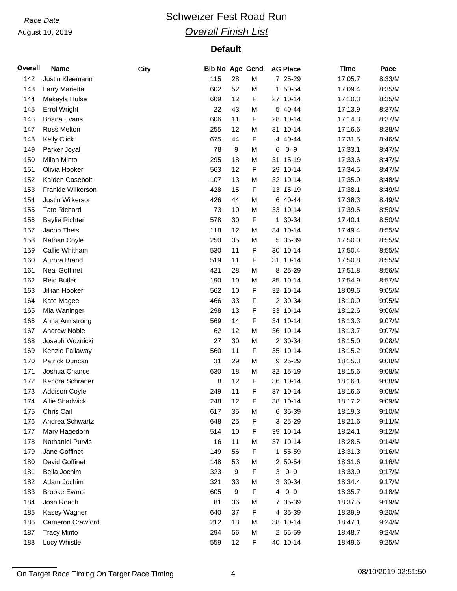# *Race Date* **Conservery Schweizer Fest Road Run** *Overall Finish List*

| <b>Overall</b> | <b>Name</b>           | City | <b>Bib No Age Gend</b> |    |   | <b>AG Place</b> | <b>Time</b> | Pace   |
|----------------|-----------------------|------|------------------------|----|---|-----------------|-------------|--------|
| 142            | Justin Kleemann       |      | 115                    | 28 | M | 7 25-29         | 17:05.7     | 8:33/M |
| 143            | Larry Marietta        |      | 602                    | 52 | M | 1 50-54         | 17:09.4     | 8:35/M |
| 144            | Makayla Hulse         |      | 609                    | 12 | F | 27 10-14        | 17:10.3     | 8:35/M |
| 145            | <b>Errol Wright</b>   |      | 22                     | 43 | M | 5 40-44         | 17:13.9     | 8:37/M |
| 146            | <b>Briana Evans</b>   |      | 606                    | 11 | F | 28 10-14        | 17:14.3     | 8:37/M |
| 147            | Ross Melton           |      | 255                    | 12 | M | 31 10-14        | 17:16.6     | 8:38/M |
| 148            | <b>Kelly Click</b>    |      | 675                    | 44 | F | 4 40-44         | 17:31.5     | 8:46/M |
| 149            | Parker Joyal          |      | 78                     | 9  | M | $0 - 9$<br>6    | 17:33.1     | 8:47/M |
| 150            | Milan Minto           |      | 295                    | 18 | M | 31<br>15-19     | 17:33.6     | 8:47/M |
| 151            | Olivia Hooker         |      | 563                    | 12 | F | $10 - 14$<br>29 | 17:34.5     | 8:47/M |
| 152            | Kaiden Casebolt       |      | 107                    | 13 | M | 32 10-14        | 17:35.9     | 8:48/M |
| 153            | Frankie Wilkerson     |      | 428                    | 15 | F | 13 15-19        | 17:38.1     | 8:49/M |
| 154            | Justin Wilkerson      |      | 426                    | 44 | M | 6 40-44         | 17:38.3     | 8:49/M |
| 155            | <b>Tate Richard</b>   |      | 73                     | 10 | M | 33 10-14        | 17:39.5     | 8:50/M |
| 156            | <b>Baylie Richter</b> |      | 578                    | 30 | F | 30-34<br>1.     | 17:40.1     | 8:50/M |
| 157            | Jacob Theis           |      | 118                    | 12 | M | $10 - 14$<br>34 | 17:49.4     | 8:55/M |
| 158            | Nathan Coyle          |      | 250                    | 35 | M | 5 35-39         | 17:50.0     | 8:55/M |
| 159            | Callie Whitham        |      | 530                    | 11 | F | 30 10-14        | 17:50.4     | 8:55/M |
| 160            | Aurora Brand          |      | 519                    | 11 | F | $10 - 14$<br>31 | 17:50.8     | 8:55/M |
| 161            | <b>Neal Goffinet</b>  |      | 421                    | 28 | M | 8<br>25-29      | 17:51.8     | 8:56/M |
| 162            | <b>Reid Butler</b>    |      | 190                    | 10 | M | 35 10-14        | 17:54.9     | 8:57/M |
| 163            | Jillian Hooker        |      | 562                    | 10 | F | 32 10-14        | 18:09.6     | 9:05/M |
| 164            | Kate Magee            |      | 466                    | 33 | F | 2 30-34         | 18:10.9     | 9:05/M |
| 165            | Mia Waninger          |      | 298                    | 13 | F | $10 - 14$<br>33 | 18:12.6     | 9:06/M |
| 166            | Anna Armstrong        |      | 569                    | 14 | F | 34 10-14        | 18:13.3     | 9:07/M |
| 167            | <b>Andrew Noble</b>   |      | 62                     | 12 | M | 36 10-14        | 18:13.7     | 9:07/M |
| 168            | Joseph Woznicki       |      | 27                     | 30 | M | 2 30-34         | 18:15.0     | 9:08/M |
| 169            | Kenzie Fallaway       |      | 560                    | 11 | F | 35 10-14        | 18:15.2     | 9:08/M |
| 170            | Patrick Duncan        |      | 31                     | 29 | M | 9 25-29         | 18:15.3     | 9:08/M |
| 171            | Joshua Chance         |      | 630                    | 18 | M | 32 15-19        | 18:15.6     | 9:08/M |
| 172            | Kendra Schraner       |      | 8                      | 12 | F | 36 10-14        | 18:16.1     | 9:08/M |
| 173            | Addison Coyle         |      | 249                    | 11 | F | 37 10-14        | 18:16.6     | 9:08/M |
| 174            | Allie Shadwick        |      | 248                    | 12 | F | 38 10-14        | 18:17.2     | 9:09/M |
| 175            | Chris Cail            |      | 617                    | 35 | M | 6 35-39         | 18:19.3     | 9:10/M |
| 176            | Andrea Schwartz       |      | 648                    | 25 | F | 3 25-29         | 18:21.6     | 9:11/M |
| 177            | Mary Hagedorn         |      | 514                    | 10 | F | 39 10-14        | 18:24.1     | 9:12/M |
| 178            | Nathaniel Purvis      |      | 16                     | 11 | M | 37 10-14        | 18:28.5     | 9:14/M |
| 179            | Jane Goffinet         |      | 149                    | 56 | F | 1 55-59         | 18:31.3     | 9:16/M |
| 180            | David Goffinet        |      | 148                    | 53 | M | 2 50-54         | 18:31.6     | 9:16/M |
| 181            | Bella Jochim          |      | 323                    | 9  | F | $0 - 9$<br>3    | 18:33.9     | 9:17/M |
| 182            | Adam Jochim           |      | 321                    | 33 | M | 3 30-34         | 18:34.4     | 9:17/M |
| 183            | <b>Brooke Evans</b>   |      | 605                    | 9  | F | $0 - 9$<br>4    | 18:35.7     | 9:18/M |
| 184            | Josh Roach            |      | 81                     | 36 | M | 7 35-39         | 18:37.5     | 9:19/M |
| 185            | Kasey Wagner          |      | 640                    | 37 | F | 4 35-39         | 18:39.9     | 9:20/M |
| 186            | Cameron Crawford      |      | 212                    | 13 | M | 38 10-14        | 18:47.1     | 9:24/M |
| 187            | <b>Tracy Minto</b>    |      | 294                    | 56 | M | 2 55-59         | 18:48.7     | 9:24/M |
| 188            | Lucy Whistle          |      | 559                    | 12 | F | 40 10-14        | 18:49.6     | 9:25/M |

On Target Race Timing On Target Race Timing 2008/10/2019 02:51:50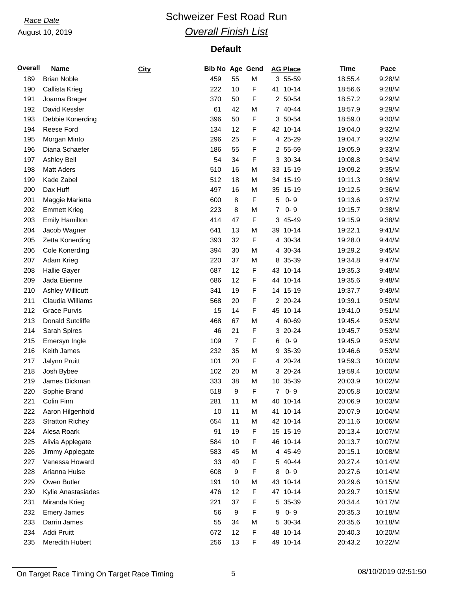# *Race Date* **Conservery Schweizer Fest Road Run** *Overall Finish List*

| <b>Overall</b> | <b>Name</b>             | <b>City</b> | <b>Bib No Age Gend</b> |                  |   | <b>AG Place</b>           | <b>Time</b> | Pace               |
|----------------|-------------------------|-------------|------------------------|------------------|---|---------------------------|-------------|--------------------|
| 189            | <b>Brian Noble</b>      |             | 459                    | 55               | M | 3 55-59                   | 18:55.4     | 9:28/M             |
| 190            | Callista Krieg          |             | 222                    | 10               | F | 41 10-14                  | 18:56.6     | 9:28/M             |
| 191            | Joanna Brager           |             | 370                    | 50               | F | 2 50-54                   | 18:57.2     | 9:29/M             |
| 192            | David Kessler           |             | 61                     | 42               | M | 7 40-44                   | 18:57.9     | 9:29/M             |
| 193            | Debbie Konerding        |             | 396                    | 50               | F | 3 50-54                   | 18:59.0     | 9:30/M             |
| 194            | Reese Ford              |             | 134                    | 12               | F | 42 10-14                  | 19:04.0     | 9:32/M             |
| 195            | Morgan Minto            |             | 296                    | 25               | F | 4 25-29                   | 19:04.7     | 9:32/M             |
| 196            | Diana Schaefer          |             | 186                    | 55               | F | 2 55-59                   | 19:05.9     | 9:33/M             |
| 197            | <b>Ashley Bell</b>      |             | 54                     | 34               | F | 3 30-34                   | 19:08.8     | 9:34/M             |
| 198            | <b>Matt Aders</b>       |             | 510                    | 16               | M | 33 15-19                  | 19:09.2     | 9:35/M             |
| 199            | Kade Zabel              |             | 512                    | 18               | M | 34 15-19                  | 19:11.3     | 9:36/M             |
| 200            | Dax Huff                |             | 497                    | 16               | M | 35<br>15-19               | 19:12.5     | 9:36/M             |
| 201            | Maggie Marietta         |             | 600                    | 8                | F | 5<br>$0 - 9$              | 19:13.6     | 9:37/M             |
| 202            | <b>Emmett Krieg</b>     |             | 223                    | 8                | M | $0 - 9$<br>$\overline{7}$ | 19:15.7     | 9:38/M             |
| 203            | <b>Emily Hamilton</b>   |             | 414                    | 47               | F | 3 45-49                   | 19:15.9     | 9:38/M             |
| 204            | Jacob Wagner            |             | 641                    | 13               | M | $10 - 14$<br>39           | 19:22.1     | 9:41/M             |
| 205            | Zetta Konerding         |             | 393                    | 32               | F | 4 30-34                   | 19:28.0     | 9:44/M             |
| 206            | <b>Cole Konerding</b>   |             | 394                    | 30               | M | 4 30-34                   | 19:29.2     | 9:45/M             |
| 207            | Adam Krieg              |             | 220                    | 37               | M | 8 35-39                   | 19:34.8     | 9:47/M             |
| 208            | <b>Hallie Gayer</b>     |             | 687                    | 12               | F | 43<br>$10 - 14$           | 19:35.3     | 9:48/M             |
| 209            | Jada Etienne            |             | 686                    | 12               | F | 44 10-14                  | 19:35.6     | 9:48/M             |
| 210            | <b>Ashley Willicutt</b> |             | 341                    | 19               | F | 14 15-19                  | 19:37.7     | 9:49/M             |
| 211            | Claudia Williams        |             | 568                    | 20               | F | 2 20-24                   | 19:39.1     | 9:50/M             |
| 212            | <b>Grace Purvis</b>     |             | 15                     | 14               | F | 45 10-14                  | 19:41.0     | 9:51/M             |
| 213            | Donald Sutcliffe        |             | 468                    | 67               | M | 4 60-69                   | 19:45.4     | 9:53/M             |
| 214            | Sarah Spires            |             | 46                     | 21               | F | 3 20-24                   | 19:45.7     | 9:53/M             |
| 215            | Emersyn Ingle           |             | 109                    | $\overline{7}$   | F | $0 - 9$<br>6              | 19:45.9     | 9:53/M             |
| 216            | Keith James             |             | 232                    | 35               | M | 35-39<br>9                | 19:46.6     | 9:53/M             |
| 217            | Jalynn Pruitt           |             | 101                    | 20               | F | 4 20-24                   | 19:59.3     | 10:00/M            |
| 218            | Josh Bybee              |             | 102                    | 20               | M | 3 20-24                   | 19:59.4     | 10:00/M            |
| 219            | James Dickman           |             | 333                    | 38               | M | 10 35-39                  | 20:03.9     | 10:02/M            |
| 220            | Sophie Brand            |             | 518                    | 9                | F | $\overline{7}$<br>$0 - 9$ | 20:05.8     | 10:03/M            |
| 221            | Colin Finn              |             | 281                    | 11               | M | 40 10-14                  | 20:06.9     | 10:03/M            |
| 222            | Aaron Hilgenhold        |             | 10                     | 11               | M | 41 10-14                  | 20:07.9     | 10:04/M            |
| 223            | <b>Stratton Richey</b>  |             | 654                    | 11               | M | 42 10-14                  | 20:11.6     | 10:06/M            |
| 224            | Alesa Roark             |             | 91                     | 19               | F | 15 15-19                  | 20:13.4     | 10:07/M            |
| 225            | Alivia Applegate        |             | 584                    | 10               | F | 46 10-14                  | 20:13.7     | 10:07/M            |
| 226            | Jimmy Applegate         |             | 583                    | 45               | M | 4 45-49                   | 20:15.1     | 10:08/M            |
| 227            | Vanessa Howard          |             | 33                     | 40               | F | 5 40-44                   | 20:27.4     | 10:14/M            |
| 228            | Arianna Hulse           |             | 608                    | 9                | F | $0 - 9$<br>8              | 20:27.6     | 10:14/M            |
| 229            | Owen Butler             |             |                        | 10               | M | 43 10-14                  |             |                    |
| 230            | Kylie Anastasiades      |             | 191<br>476             | 12               | F | 47 10-14                  | 20:29.6     | 10:15/M<br>10:15/M |
|                |                         |             |                        |                  |   |                           | 20:29.7     |                    |
| 231            | Miranda Krieg           |             | 221                    | 37               | F | 5 35-39                   | 20:34.4     | 10:17/M            |
| 232            | <b>Emery James</b>      |             | 56                     | $\boldsymbol{9}$ | F | $0 - 9$<br>9              | 20:35.3     | 10:18/M            |
| 233            | Darrin James            |             | 55                     | 34               | M | 5 30-34                   | 20:35.6     | 10:18/M            |
| 234            | Addi Pruitt             |             | 672                    | 12               | F | 48 10-14                  | 20:40.3     | 10:20/M            |
| 235            | Meredith Hubert         |             | 256                    | 13               | F | 49 10-14                  | 20:43.2     | 10:22/M            |

On Target Race Timing On Target Race Timing 6 08/10/2019 02:51:50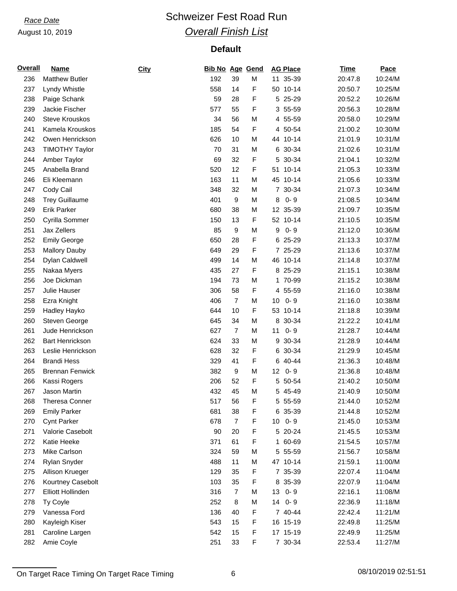# *Race Date* **Conservery Schweizer Fest Road Run** *Overall Finish List*

| <b>Overall</b> | <b>Name</b>            | City | <b>Bib No Age Gend</b> |                |   | <b>AG Place</b>            | <b>Time</b> | Pace    |
|----------------|------------------------|------|------------------------|----------------|---|----------------------------|-------------|---------|
| 236            | <b>Matthew Butler</b>  |      | 192                    | 39             | M | 11 35-39                   | 20:47.8     | 10:24/M |
| 237            | Lyndy Whistle          |      | 558                    | 14             | F | 50 10-14                   | 20:50.7     | 10:25/M |
| 238            | Paige Schank           |      | 59                     | 28             | F | 5 25-29                    | 20:52.2     | 10:26/M |
| 239            | Jackie Fischer         |      | 577                    | 55             | F | 3 55-59                    | 20:56.3     | 10:28/M |
| 240            | <b>Steve Krouskos</b>  |      | 34                     | 56             | M | 4 55-59                    | 20:58.0     | 10:29/M |
| 241            | Kamela Krouskos        |      | 185                    | 54             | F | 4 50-54                    | 21:00.2     | 10:30/M |
| 242            | Owen Henrickson        |      | 626                    | 10             | M | 44 10-14                   | 21:01.9     | 10:31/M |
| 243            | <b>TIMOTHY Taylor</b>  |      | 70                     | 31             | M | 6 30-34                    | 21:02.6     | 10:31/M |
| 244            | Amber Taylor           |      | 69                     | 32             | F | 5 30-34                    | 21:04.1     | 10:32/M |
| 245            | Anabella Brand         |      | 520                    | 12             | F | 51 10-14                   | 21:05.3     | 10:33/M |
| 246            | Eli Kleemann           |      | 163                    | 11             | M | 45 10-14                   | 21:05.6     | 10:33/M |
| 247            | Cody Cail              |      | 348                    | 32             | M | 30-34<br>$\overline{7}$    | 21:07.3     | 10:34/M |
| 248            | <b>Trey Guillaume</b>  |      | 401                    | 9              | M | $0 - 9$<br>8               | 21:08.5     | 10:34/M |
| 249            | <b>Erik Parker</b>     |      | 680                    | 38             | M | 12 35-39                   | 21:09.7     | 10:35/M |
| 250            | Cyrilla Sommer         |      | 150                    | 13             | F | 52 10-14                   | 21:10.5     | 10:35/M |
| 251            | Jax Zellers            |      | 85                     | 9              | M | 9<br>$0 - 9$               | 21:12.0     | 10:36/M |
| 252            | <b>Emily George</b>    |      | 650                    | 28             | F | 6 25-29                    | 21:13.3     | 10:37/M |
| 253            | <b>Mallory Dauby</b>   |      | 649                    | 29             | F | 7 25-29                    | 21:13.6     | 10:37/M |
| 254            | Dylan Caldwell         |      | 499                    | 14             | M | 46 10-14                   | 21:14.8     | 10:37/M |
| 255            | Nakaa Myers            |      | 435                    | 27             | F | 8 25-29                    | 21:15.1     | 10:38/M |
| 256            | Joe Dickman            |      | 194                    | 73             | M | 1 70-99                    | 21:15.2     | 10:38/M |
| 257            | Julie Hauser           |      | 306                    | 58             | F | 4 55-59                    | 21:16.0     | 10:38/M |
| 258            | Ezra Knight            |      | 406                    | $\overline{7}$ | M | $0 - 9$<br>10              | 21:16.0     | 10:38/M |
| 259            | Hadley Hayko           |      | 644                    | 10             | F | $10 - 14$<br>53            | 21:18.8     | 10:39/M |
| 260            | Steven George          |      | 645                    | 34             | M | 30-34<br>8                 | 21:22.2     | 10:41/M |
| 261            | Jude Henrickson        |      | 627                    | $\overline{7}$ | M | $0 - 9$<br>11              | 21:28.7     | 10:44/M |
| 262            | <b>Bart Henrickson</b> |      | 624                    | 33             | M | 30-34<br>9                 | 21:28.9     | 10:44/M |
| 263            | Leslie Henrickson      |      | 628                    | 32             | F | 30-34<br>6                 | 21:29.9     | 10:45/M |
| 264            | <b>Brandi Hess</b>     |      | 329                    | 41             | F | 6 40-44                    | 21:36.3     | 10:48/M |
| 265            | <b>Brennan Fenwick</b> |      | 382                    | 9              | M | $0 - 9$<br>12 <sub>2</sub> | 21:36.8     | 10:48/M |
| 266            | Kassi Rogers           |      | 206                    | 52             | F | 5 50-54                    | 21:40.2     | 10:50/M |
| 267            | Jason Martin           |      | 432                    | 45             | M | 5 45-49                    | 21:40.9     | 10:50/M |
| 268            | Theresa Conner         |      | 517                    | 56             | F | 5 55-59                    | 21:44.0     | 10:52/M |
| 269            | <b>Emily Parker</b>    |      | 681                    | 38             | F | 6 35-39                    | 21:44.8     | 10:52/M |
| 270            | <b>Cynt Parker</b>     |      | 678                    | $\overline{7}$ | F | $0 - 9$<br>10              | 21:45.0     | 10:53/M |
| 271            | Valorie Casebolt       |      | 90                     | 20             | F | 5 20-24                    | 21:45.5     | 10:53/M |
| 272            | Katie Heeke            |      | 371                    | 61             | F | 1 60-69                    | 21:54.5     | 10:57/M |
| 273            | Mike Carlson           |      | 324                    | 59             | M | 5 55-59                    | 21:56.7     | 10:58/M |
| 274            | Rylan Snyder           |      | 488                    | 11             | M | 47 10-14                   | 21:59.1     | 11:00/M |
| 275            | Allison Krueger        |      | 129                    | 35             | F | 7 35-39                    | 22:07.4     | 11:04/M |
| 276            | Kourtney Casebolt      |      | 103                    | 35             | F | 8 35-39                    | 22:07.9     | 11:04/M |
| 277            | Elliott Hollinden      |      | 316                    | $\overline{7}$ | M | $0 - 9$<br>13              | 22:16.1     | 11:08/M |
| 278            | Ty Coyle               |      | 252                    | 8              | M | 14<br>$0 - 9$              | 22:36.9     | 11:18/M |
| 279            | Vanessa Ford           |      | 136                    | 40             | F | 7 40-44                    | 22:42.4     | 11:21/M |
| 280            | Kayleigh Kiser         |      | 543                    | 15             | F | 16 15-19                   | 22:49.8     | 11:25/M |
| 281            | Caroline Largen        |      | 542                    | 15             | F | 17 15-19                   | 22:49.9     | 11:25/M |
| 282            | Amie Coyle             |      | 251                    | 33             | F | 7 30-34                    | 22:53.4     | 11:27/M |

On Target Race Timing On Target Race Timing 6 08/10/2019 02:51:51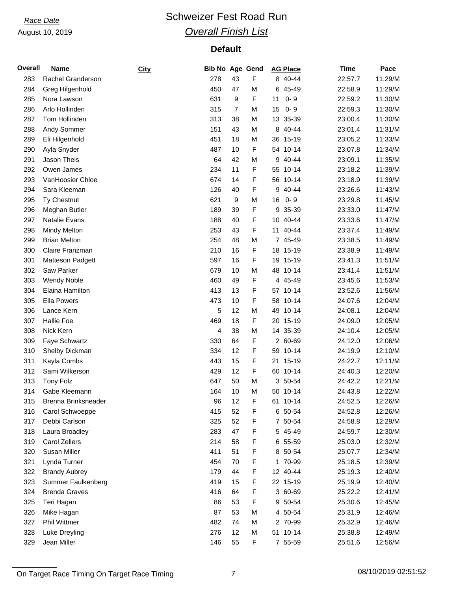# *Race Date* **Conservery Schweizer Fest Road Run** *Overall Finish List*

| <b>Overall</b> | <b>Name</b>          | City | <b>Bib No Age Gend</b> |                |   | <b>AG Place</b> | Time    | Pace    |
|----------------|----------------------|------|------------------------|----------------|---|-----------------|---------|---------|
| 283            | Rachel Granderson    |      | 278                    | 43             | F | 8 40-44         | 22:57.7 | 11:29/M |
| 284            | Greg Hilgenhold      |      | 450                    | 47             | М | 6 45-49         | 22:58.9 | 11:29/M |
| 285            | Nora Lawson          |      | 631                    | 9              | F | $0 - 9$<br>11   | 22:59.2 | 11:30/M |
| 286            | Arlo Hollinden       |      | 315                    | $\overline{7}$ | M | $0 - 9$<br>15   | 22:59.3 | 11:30/M |
| 287            | Tom Hollinden        |      | 313                    | 38             | M | 13 35-39        | 23:00.4 | 11:30/M |
| 288            | Andy Sommer          |      | 151                    | 43             | M | 8 40-44         | 23:01.4 | 11:31/M |
| 289            | Eli Hilgenhold       |      | 451                    | 18             | M | 36 15-19        | 23:05.2 | 11:33/M |
| 290            | Ayla Snyder          |      | 487                    | 10             | F | $10 - 14$<br>54 | 23:07.8 | 11:34/M |
| 291            | Jason Theis          |      | 64                     | 42             | M | 9 40-44         | 23:09.1 | 11:35/M |
| 292            | Owen James           |      | 234                    | 11             | F | 55 10-14        | 23:18.2 | 11:39/M |
| 293            | VanHoosier Chloe     |      | 674                    | 14             | F | 56 10-14        | 23:18.9 | 11:39/M |
| 294            | Sara Kleeman         |      | 126                    | 40             | F | 40-44<br>9      | 23:26.6 | 11:43/M |
| 295            | Ty Chestnut          |      | 621                    | 9              | M | 16<br>$0 - 9$   | 23:29.8 | 11:45/M |
| 296            | Meghan Butler        |      | 189                    | 39             | F | 35-39<br>9      | 23:33.0 | 11:47/M |
| 297            | Natalie Evans        |      | 188                    | 40             | F | 10 40-44        | 23:33.6 | 11:47/M |
| 298            | <b>Mindy Melton</b>  |      | 253                    | 43             | F | 11<br>40-44     | 23:37.4 | 11:49/M |
| 299            | <b>Brian Melton</b>  |      | 254                    | 48             | М | 7 45-49         | 23:38.5 | 11:49/M |
| 300            | Claire Franzman      |      | 210                    | 16             | F | 18 15-19        | 23:38.9 | 11:49/M |
| 301            | Matteson Padgett     |      | 597                    | 16             | F | 19 15-19        | 23:41.3 | 11:51/M |
| 302            | Saw Parker           |      | 679                    | 10             | М | 48 10-14        | 23:41.4 | 11:51/M |
| 303            | <b>Wendy Noble</b>   |      | 460                    | 49             | F | 4 45-49         | 23:45.6 | 11:53/M |
| 304            | Elaina Hamilton      |      | 413                    | 13             | F | 57 10-14        | 23:52.6 | 11:56/M |
| 305            | <b>Ella Powers</b>   |      | 473                    | 10             | F | 58 10-14        | 24:07.6 | 12:04/M |
| 306            | Lance Kern           |      | 5                      | 12             | M | 49<br>$10 - 14$ | 24:08.1 | 12:04/M |
| 307            | <b>Hallie Foe</b>    |      | 469                    | 18             | F | 20 15-19        | 24:09.0 | 12:05/M |
| 308            | Nick Kern            |      | 4                      | 38             | М | 14 35-39        | 24:10.4 | 12:05/M |
| 309            | Faye Schwartz        |      | 330                    | 64             | F | 2 60-69         | 24:12.0 | 12:06/M |
| 310            | Shelby Dickman       |      | 334                    | 12             | F | $10 - 14$<br>59 | 24:19.9 | 12:10/M |
| 311            | Kayla Combs          |      | 443                    | 15             | F | 21 15-19        | 24:22.7 | 12:11/M |
| 312            | Sami Wilkerson       |      | 429                    | 12             | F | 60 10-14        | 24:40.3 | 12:20/M |
| 313            | <b>Tony Folz</b>     |      | 647                    | 50             | M | 3 50-54         | 24:42.2 | 12:21/M |
| 314            | Gabe Kleemann        |      | 164                    | 10             | M | 50 10-14        | 24:43.8 | 12:22/M |
| 315            | Brenna Brinksneader  |      | 96                     | 12             | F | 61 10-14        | 24:52.5 | 12:26/M |
| 316            | Carol Schwoeppe      |      | 415                    | 52             | F | 6 50-54         | 24:52.8 | 12:26/M |
| 317            | Debbi Carlson        |      | 325                    | 52             | F | 7 50-54         | 24:58.8 | 12:29/M |
| 318            | Laura Broadley       |      | 283                    | 47             | F | 5 45-49         | 24:59.7 | 12:30/M |
| 319            | Carol Zellers        |      | 214                    | 58             | F | 6 55-59         | 25:03.0 | 12:32/M |
| 320            | Susan Miller         |      | 411                    | 51             | F | 8 50-54         | 25:07.7 | 12:34/M |
| 321            | Lynda Turner         |      | 454                    | 70             | F | 1 70-99         | 25:18.5 | 12:39/M |
| 322            | <b>Brandy Aubrey</b> |      | 179                    | 44             | F | 12 40-44        | 25:19.3 | 12:40/M |
| 323            | Summer Faulkenberg   |      | 419                    | 15             | F | 22 15-19        | 25:19.9 | 12:40/M |
| 324            | <b>Brenda Graves</b> |      | 416                    | 64             | F | 3 60-69         | 25:22.2 | 12:41/M |
| 325            | Teri Hagan           |      | 86                     | 53             | F | 9 50-54         | 25:30.6 | 12:45/M |
| 326            | Mike Hagan           |      | 87                     | 53             | M | 4 50-54         | 25:31.9 | 12:46/M |
| 327            | Phil Wittmer         |      | 482                    | 74             | M | 2 70-99         | 25:32.9 | 12:46/M |
| 328            | Luke Dreyling        |      | 276                    | 12             | M | 51 10-14        | 25:38.8 | 12:49/M |
| 329            | Jean Miller          |      | 146                    | 55             | F | 7 55-59         | 25:51.6 | 12:56/M |
|                |                      |      |                        |                |   |                 |         |         |

On Target Race Timing On Target Race Timing 7 7 08/10/2019 02:51:52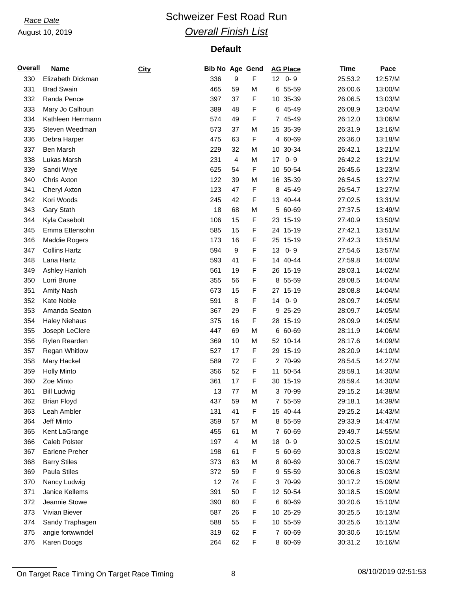# *Race Date* **Conservery Schweizer Fest Road Run** *Overall Finish List*

## **Default**

| <b>Overall</b> | <b>Name</b>           | City | <b>Bib No Age Gend</b> |    |   | <b>AG Place</b> | <b>Time</b> | Pace    |
|----------------|-----------------------|------|------------------------|----|---|-----------------|-------------|---------|
| 330            | Elizabeth Dickman     |      | 336                    | 9  | F | $12$ 0-9        | 25:53.2     | 12:57/M |
| 331            | <b>Brad Swain</b>     |      | 465                    | 59 | M | 6 55-59         | 26:00.6     | 13:00/M |
| 332            | Randa Pence           |      | 397                    | 37 | F | 10 35-39        | 26:06.5     | 13:03/M |
| 333            | Mary Jo Calhoun       |      | 389                    | 48 | F | 6 45-49         | 26:08.9     | 13:04/M |
| 334            | Kathleen Herrmann     |      | 574                    | 49 | F | 7 45-49         | 26:12.0     | 13:06/M |
| 335            | Steven Weedman        |      | 573                    | 37 | M | 15 35-39        | 26:31.9     | 13:16/M |
| 336            | Debra Harper          |      | 475                    | 63 | F | 4 60-69         | 26:36.0     | 13:18/M |
| 337            | Ben Marsh             |      | 229                    | 32 | M | 30-34<br>10     | 26:42.1     | 13:21/M |
| 338            | Lukas Marsh           |      | 231                    | 4  | M | 17<br>$0 - 9$   | 26:42.2     | 13:21/M |
| 339            | Sandi Wrye            |      | 625                    | 54 | F | 10 50-54        | 26:45.6     | 13:23/M |
| 340            | Chris Axton           |      | 122                    | 39 | M | 16 35-39        | 26:54.5     | 13:27/M |
| 341            | Cheryl Axton          |      | 123                    | 47 | F | 8 45-49         | 26:54.7     | 13:27/M |
| 342            | Kori Woods            |      | 245                    | 42 | F | 13 40-44        | 27:02.5     | 13:31/M |
| 343            | Gary Stath            |      | 18                     | 68 | M | 5 60-69         | 27:37.5     | 13:49/M |
| 344            | Kyla Casebolt         |      | 106                    | 15 | F | 23 15-19        | 27:40.9     | 13:50/M |
| 345            | Emma Ettensohn        |      | 585                    | 15 | F | 24 15-19        | 27:42.1     | 13:51/M |
| 346            | Maddie Rogers         |      | 173                    | 16 | F | 25 15-19        | 27:42.3     | 13:51/M |
| 347            | <b>Collins Hartz</b>  |      | 594                    | 9  | F | 13<br>$0 - 9$   | 27:54.6     | 13:57/M |
| 348            | Lana Hartz            |      | 593                    | 41 | F | 14 40-44        | 27:59.8     | 14:00/M |
| 349            | Ashley Hanloh         |      | 561                    | 19 | F | 26 15-19        | 28:03.1     | 14:02/M |
| 350            | Lorri Brune           |      | 355                    | 56 | F | 8 55-59         | 28:08.5     | 14:04/M |
| 351            | <b>Amity Nash</b>     |      | 673                    | 15 | F | 27 15-19        | 28:08.8     | 14:04/M |
| 352            | Kate Noble            |      | 591                    | 8  | F | $0 - 9$<br>14   | 28:09.7     | 14:05/M |
| 353            | Amanda Seaton         |      | 367                    | 29 | F | 9 25-29         | 28:09.7     | 14:05/M |
| 354            | <b>Haley Niehaus</b>  |      | 375                    | 16 | F | 28 15-19        | 28:09.9     | 14:05/M |
| 355            | Joseph LeClere        |      | 447                    | 69 | M | 6 60-69         | 28:11.9     | 14:06/M |
| 356            | Rylen Rearden         |      | 369                    | 10 | M | 52 10-14        | 28:17.6     | 14:09/M |
| 357            | <b>Regan Whitlow</b>  |      | 527                    | 17 | F | 29 15-19        | 28:20.9     | 14:10/M |
| 358            | Mary Hackel           |      | 589                    | 72 | F | 2 70-99         | 28:54.5     | 14:27/M |
| 359            | <b>Holly Minto</b>    |      | 356                    | 52 | F | 11 50-54        | 28:59.1     | 14:30/M |
| 360            | Zoe Minto             |      | 361                    | 17 | F | 30 15-19        | 28:59.4     | 14:30/M |
| 361            | <b>Bill Ludwig</b>    |      | 13                     | 77 | M | 3 70-99         | 29:15.2     | 14:38/M |
| 362            | <b>Brian Floyd</b>    |      | 437                    | 59 | M | 7 55-59         | 29:18.1     | 14:39/M |
| 363            | Leah Ambler           |      | 131                    | 41 | F | 15 40-44        | 29:25.2     | 14:43/M |
| 364            | Jeff Minto            |      | 359                    | 57 | M | 8 55-59         | 29:33.9     | 14:47/M |
| 365            | Kent LaGrange         |      | 455                    | 61 | M | 7 60-69         | 29:49.7     | 14:55/M |
| 366            | Caleb Polster         |      | 197                    | 4  | M | 18<br>$0 - 9$   | 30:02.5     | 15:01/M |
| 367            | <b>Earlene Preher</b> |      | 198                    | 61 | F | 5 60-69         | 30:03.8     | 15:02/M |
| 368            | <b>Barry Stiles</b>   |      | 373                    | 63 | M | 8 60-69         | 30:06.7     | 15:03/M |
| 369            | Paula Stiles          |      | 372                    | 59 | F | 9 55-59         | 30:06.8     | 15:03/M |
| 370            | Nancy Ludwig          |      | 12                     | 74 | F | 3 70-99         | 30:17.2     | 15:09/M |
| 371            | Janice Kellems        |      | 391                    | 50 | F | 12 50-54        | 30:18.5     | 15:09/M |
| 372            | Jeannie Stowe         |      | 390                    | 60 | F | 6 60-69         | 30:20.6     | 15:10/M |
| 373            | Vivian Biever         |      | 587                    | 26 | F | 10 25-29        | 30:25.5     | 15:13/M |
| 374            | Sandy Traphagen       |      | 588                    | 55 | F | 10 55-59        | 30:25.6     | 15:13/M |
| 375            | angie fortwwndel      |      | 319                    | 62 | F | 7 60-69         | 30:30.6     | 15:15/M |
| 376            | Karen Doogs           |      | 264                    | 62 | F | 8 60-69         | 30:31.2     | 15:16/M |

On Target Race Timing On Target Race Timing 8 08/10/2019 02:51:53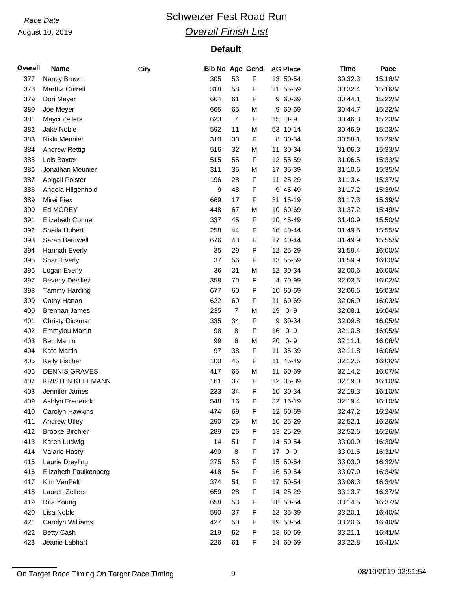# *Race Date* **Conservery Schweizer Fest Road Run** *Overall Finish List*

## **Default**

| <b>Overall</b> | <b>Name</b>             | City | <b>Bib No Age Gend</b> |                |   | <b>AG Place</b> | <b>Time</b> | Pace    |
|----------------|-------------------------|------|------------------------|----------------|---|-----------------|-------------|---------|
| 377            | Nancy Brown             |      | 305                    | 53             | F | 13 50-54        | 30:32.3     | 15:16/M |
| 378            | Martha Cutrell          |      | 318                    | 58             | F | 11 55-59        | 30:32.4     | 15:16/M |
| 379            | Dori Meyer              |      | 664                    | 61             | F | 9 60-69         | 30:44.1     | 15:22/M |
| 380            | Joe Meyer               |      | 665                    | 65             | M | 60-69<br>9      | 30:44.7     | 15:22/M |
| 381            | Mayci Zellers           |      | 623                    | $\overline{7}$ | F | $0 - 9$<br>15   | 30:46.3     | 15:23/M |
| 382            | Jake Noble              |      | 592                    | 11             | M | 53 10-14        | 30:46.9     | 15:23/M |
| 383            | Nikki Meunier           |      | 310                    | 33             | F | 8 30-34         | 30:58.1     | 15:29/M |
| 384            | <b>Andrew Rettig</b>    |      | 516                    | 32             | M | 30-34<br>11     | 31:06.3     | 15:33/M |
| 385            | Lois Baxter             |      | 515                    | 55             | F | 12 55-59        | 31:06.5     | 15:33/M |
| 386            | Jonathan Meunier        |      | 311                    | 35             | M | 17 35-39        | 31:10.6     | 15:35/M |
| 387            | Abigail Polster         |      | 196                    | 28             | F | 11 25-29        | 31:13.4     | 15:37/M |
| 388            | Angela Hilgenhold       |      | 9                      | 48             | F | 45-49<br>9      | 31:17.2     | 15:39/M |
| 389            | Mirei Piex              |      | 669                    | 17             | F | $15-19$<br>31   | 31:17.3     | 15:39/M |
| 390            | Ed MOREY                |      | 448                    | 67             | M | 10 60-69        | 31:37.2     | 15:49/M |
| 391            | Elizabeth Conner        |      | 337                    | 45             | F | 10 45-49        | 31:40.9     | 15:50/M |
| 392            | Sheila Hubert           |      | 258                    | 44             | F | 16 40-44        | 31:49.5     | 15:55/M |
| 393            | Sarah Bardwell          |      | 676                    | 43             | F | 17 40-44        | 31:49.9     | 15:55/M |
| 394            | Hannah Everly           |      | 35                     | 29             | F | 12 25-29        | 31:59.4     | 16:00/M |
| 395            | Shari Everly            |      | 37                     | 56             | F | 13 55-59        | 31:59.9     | 16:00/M |
| 396            | Logan Everly            |      | 36                     | 31             | M | 12 30-34        | 32:00.6     | 16:00/M |
| 397            | <b>Beverly Devillez</b> |      | 358                    | 70             | F | 4 70-99         | 32:03.5     | 16:02/M |
| 398            | <b>Tammy Harding</b>    |      | 677                    | 60             | F | 10 60-69        | 32:06.6     | 16:03/M |
| 399            | Cathy Hanan             |      | 622                    | 60             | F | 60-69<br>11     | 32:06.9     | 16:03/M |
| 400            | <b>Brennan James</b>    |      | 235                    | $\overline{7}$ | M | $0 - 9$<br>19   | 32:08.1     | 16:04/M |
| 401            | Christy Dickman         |      | 335                    | 34             | F | 30-34<br>9      | 32:09.8     | 16:05/M |
| 402            | <b>Emmylou Martin</b>   |      | 98                     | 8              | F | $0 - 9$<br>16   | 32:10.8     | 16:05/M |
|                |                         |      |                        |                |   | $0 - 9$         |             | 16:06/M |
| 403            | <b>Ben Martin</b>       |      | 99                     | 6              | M | 20              | 32:11.1     |         |
| 404            | Kate Martin             |      | 97                     | 38             | F | 11<br>35-39     | 32:11.8     | 16:06/M |
| 405            | Kelly Fischer           |      | 100                    | 45             | F | 11 45-49        | 32:12.5     | 16:06/M |
| 406            | <b>DENNIS GRAVES</b>    |      | 417                    | 65             | M | 11 60-69        | 32:14.2     | 16:07/M |
| 407            | <b>KRISTEN KLEEMANN</b> |      | 161                    | 37             | F | 12 35-39        | 32:19.0     | 16:10/M |
| 408            | Jennifer James          |      | 233                    | 34             | F | 10 30-34        | 32:19.3     | 16:10/M |
| 409            | Ashlyn Frederick        |      | 548                    | 16             | F | 32 15-19        | 32:19.4     | 16:10/M |
| 410            | Carolyn Hawkins         |      | 474                    | 69             | F | 12 60-69        | 32:47.2     | 16:24/M |
| 411            | <b>Andrew Utley</b>     |      | 290                    | 26             | M | 10 25-29        | 32:52.1     | 16:26/M |
| 412            | <b>Brooke Birchler</b>  |      | 289                    | 26             | F | 13 25-29        | 32:52.6     | 16:26/M |
| 413            | Karen Ludwig            |      | 14                     | 51             | F | 14 50-54        | 33:00.9     | 16:30/M |
| 414            | Valarie Hasry           |      | 490                    | 8              | F | 17 0-9          | 33:01.6     | 16:31/M |
| 415            | Laurie Dreyling         |      | 275                    | 53             | F | 15 50-54        | 33:03.0     | 16:32/M |
| 416            | Elizabeth Faulkenberg   |      | 418                    | 54             | F | 16 50-54        | 33:07.9     | 16:34/M |
| 417            | Kim VanPelt             |      | 374                    | 51             | F | 17 50-54        | 33:08.3     | 16:34/M |
| 418            | Lauren Zellers          |      | 659                    | 28             | F | 14 25-29        | 33:13.7     | 16:37/M |
| 419            | Rita Young              |      | 658                    | 53             | F | 18 50-54        | 33:14.5     | 16:37/M |
| 420            | Lisa Noble              |      | 590                    | 37             | F | 13 35-39        | 33:20.1     | 16:40/M |
| 421            | Carolyn Williams        |      | 427                    | 50             | F | 19 50-54        | 33:20.6     | 16:40/M |
| 422            | <b>Betty Cash</b>       |      | 219                    | 62             | F | 13 60-69        | 33:21.1     | 16:41/M |
| 423            | Jeanie Labhart          |      | 226                    | 61             | F | 14 60-69        | 33:22.8     | 16:41/M |

On Target Race Timing On Target Race Timing 08/10/2019 02:51:54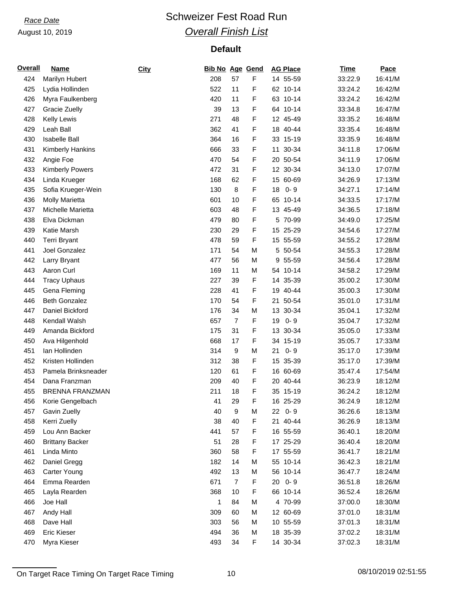# *Race Date* **Conservery Schweizer Fest Road Run** *Overall Finish List*

## **Default**

| <b>Overall</b> | <u>Name</u>             | City | <b>Bib No Age Gend</b> |                |   | <b>AG Place</b>           | Time    | Pace    |
|----------------|-------------------------|------|------------------------|----------------|---|---------------------------|---------|---------|
| 424            | Marilyn Hubert          |      | 208                    | 57             | F | 14 55-59                  | 33:22.9 | 16:41/M |
| 425            | Lydia Hollinden         |      | 522                    | 11             | F | 62 10-14                  | 33:24.2 | 16:42/M |
| 426            | Myra Faulkenberg        |      | 420                    | 11             | F | 63 10-14                  | 33:24.2 | 16:42/M |
| 427            | <b>Gracie Zuelly</b>    |      | 39                     | 13             | F | $10 - 14$<br>64           | 33:34.8 | 16:47/M |
| 428            | Kelly Lewis             |      | 271                    | 48             | F | 12 45-49                  | 33:35.2 | 16:48/M |
| 429            | Leah Ball               |      | 362                    | 41             | F | 18 40-44                  | 33:35.4 | 16:48/M |
| 430            | <b>Isabelle Ball</b>    |      | 364                    | 16             | F | 33 15-19                  | 33:35.9 | 16:48/M |
| 431            | <b>Kimberly Hankins</b> |      | 666                    | 33             | F | 30-34<br>11               | 34:11.8 | 17:06/M |
| 432            | Angie Foe               |      | 470                    | 54             | F | 20 50-54                  | 34:11.9 | 17:06/M |
| 433            | <b>Kimberly Powers</b>  |      | 472                    | 31             | F | 12 30-34                  | 34:13.0 | 17:07/M |
| 434            | Linda Krueger           |      | 168                    | 62             | F | 15 60-69                  | 34:26.9 | 17:13/M |
| 435            | Sofia Krueger-Wein      |      | 130                    | 8              | F | 18<br>$0 - 9$             | 34:27.1 | 17:14/M |
| 436            | <b>Molly Marietta</b>   |      | 601                    | 10             | F | 65 10-14                  | 34:33.5 | 17:17/M |
| 437            | Michelle Marietta       |      | 603                    | 48             | F | 13 45-49                  | 34:36.5 | 17:18/M |
| 438            | Elva Dickman            |      | 479                    | 80             | F | 5 70-99                   | 34:49.0 | 17:25/M |
| 439            | Katie Marsh             |      | 230                    | 29             | F | 15 <sub>15</sub><br>25-29 | 34:54.6 | 17:27/M |
| 440            | Terri Bryant            |      | 478                    | 59             | F | 15 55-59                  | 34:55.2 | 17:28/M |
| 441            | Joel Gonzalez           |      | 171                    | 54             | M | 5 50-54                   | 34:55.3 | 17:28/M |
| 442            | Larry Bryant            |      | 477                    | 56             | M | 55-59<br>9                | 34:56.4 | 17:28/M |
| 443            | Aaron Curl              |      | 169                    | 11             | M | $10 - 14$<br>54           | 34:58.2 | 17:29/M |
| 444            | <b>Tracy Uphaus</b>     |      | 227                    | 39             | F | 14 35-39                  | 35:00.2 | 17:30/M |
| 445            | Gena Fleming            |      | 228                    | 41             | F | 19 40-44                  | 35:00.3 | 17:30/M |
| 446            | <b>Beth Gonzalez</b>    |      | 170                    | 54             | F | 50-54<br>21               | 35:01.0 | 17:31/M |
| 447            | Daniel Bickford         |      | 176                    | 34             | M | 13<br>30-34               | 35:04.1 | 17:32/M |
| 448            | Kendall Walsh           |      | 657                    | $\overline{7}$ | F | 19<br>$0 - 9$             | 35:04.7 | 17:32/M |
| 449            | Amanda Bickford         |      | 175                    | 31             | F | 13 30-34                  |         | 17:33/M |
| 450            |                         |      |                        |                |   | 34 15-19                  | 35:05.0 | 17:33/M |
|                | Ava Hilgenhold          |      | 668                    | 17             | F | $0 - 9$                   | 35:05.7 |         |
| 451            | lan Hollinden           |      | 314                    | 9              | М | 21                        | 35:17.0 | 17:39/M |
| 452            | Kristen Hollinden       |      | 312                    | 38             | F | 15 35-39                  | 35:17.0 | 17:39/M |
| 453            | Pamela Brinksneader     |      | 120                    | 61             | F | 16 60-69                  | 35:47.4 | 17:54/M |
| 454            | Dana Franzman           |      | 209                    | 40             | F | 20 40-44                  | 36:23.9 | 18:12/M |
| 455            | <b>BRENNA FRANZMAN</b>  |      | 211                    | 18             | F | 35 15-19                  | 36:24.2 | 18:12/M |
| 456            | Korie Gengelbach        |      | 41                     | 29             | F | 16 25-29                  | 36:24.9 | 18:12/M |
| 457            | Gavin Zuelly            |      | 40                     | 9              | M | $0 - 9$<br>22             | 36:26.6 | 18:13/M |
| 458            | Kerri Zuelly            |      | 38                     | 40             | F | 40-44<br>21               | 36:26.9 | 18:13/M |
| 459            | Lou Ann Backer          |      | 441                    | 57             | F | 16 55-59                  | 36:40.1 | 18:20/M |
| 460            | <b>Brittany Backer</b>  |      | 51                     | 28             | F | 17 25-29                  | 36:40.4 | 18:20/M |
| 461            | Linda Minto             |      | 360                    | 58             | F | 17 55-59                  | 36:41.7 | 18:21/M |
| 462            | Daniel Gregg            |      | 182                    | 14             | М | 55 10-14                  | 36:42.3 | 18:21/M |
| 463            | Carter Young            |      | 492                    | 13             | М | 56 10-14                  | 36:47.7 | 18:24/M |
| 464            | Emma Rearden            |      | 671                    | $\overline{7}$ | F | $0 - 9$<br>20             | 36:51.8 | 18:26/M |
| 465            | Layla Rearden           |      | 368                    | 10             | F | 66 10-14                  | 36:52.4 | 18:26/M |
| 466            | Joe Hall                |      | 1                      | 84             | M | 4 70-99                   | 37:00.0 | 18:30/M |
| 467            | Andy Hall               |      | 309                    | 60             | M | 12 60-69                  | 37:01.0 | 18:31/M |
| 468            | Dave Hall               |      | 303                    | 56             | M | 10 55-59                  | 37:01.3 | 18:31/M |
| 469            | Eric Kieser             |      | 494                    | 36             | M | 18 35-39                  | 37:02.2 | 18:31/M |
| 470            | Myra Kieser             |      | 493                    | 34             | F | 14 30-34                  | 37:02.3 | 18:31/M |

On Target Race Timing On Target Race Timing 10 08/10/2019 02:51:55